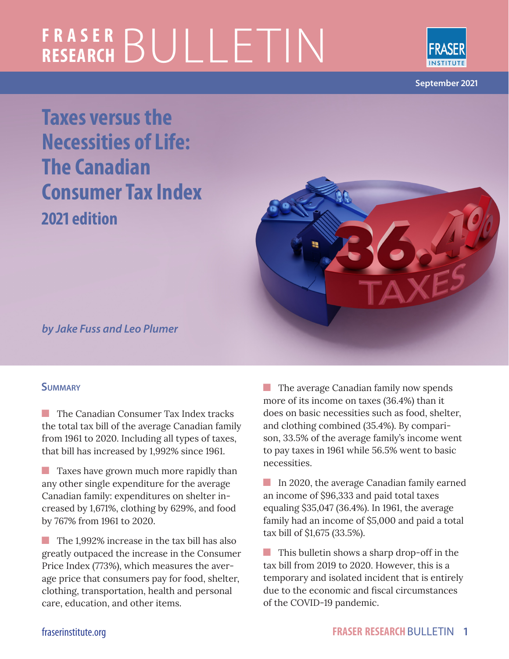# **FRASER RESEARCH** BULLETIN



**September 2021**

**Taxes versus the Necessities of Life: The Canadian Consumer Tax Index 2021 edition**



*by Jake Fuss and Leo Plumer*

#### **Summary**

 $\blacksquare$  The Canadian Consumer Tax Index tracks the total tax bill of the average Canadian family from 1961 to 2020. Including all types of taxes, that bill has increased by 1,992% since 1961.

**Taxes have grown much more rapidly than** any other single expenditure for the average Canadian family: expenditures on shelter increased by 1,671%, clothing by 629%, and food by 767% from 1961 to 2020.

The 1,992% increase in the tax bill has also greatly outpaced the increase in the Consumer Price Index (773%), which measures the average price that consumers pay for food, shelter, clothing, transportation, health and personal care, education, and other items.

**The average Canadian family now spends** more of its income on taxes (36.4%) than it does on basic necessities such as food, shelter, and clothing combined (35.4%). By comparison, 33.5% of the average family's income went to pay taxes in 1961 while 56.5% went to basic necessities.

In 2020, the average Canadian family earned an income of \$96,333 and paid total taxes equaling \$35,047 (36.4%). In 1961, the average family had an income of \$5,000 and paid a total tax bill of \$1,675 (33.5%).

**This bulletin shows a sharp drop-off in the** tax bill from 2019 to 2020. However, this is a temporary and isolated incident that is entirely due to the economic and fiscal circumstances of the COVID-19 pandemic.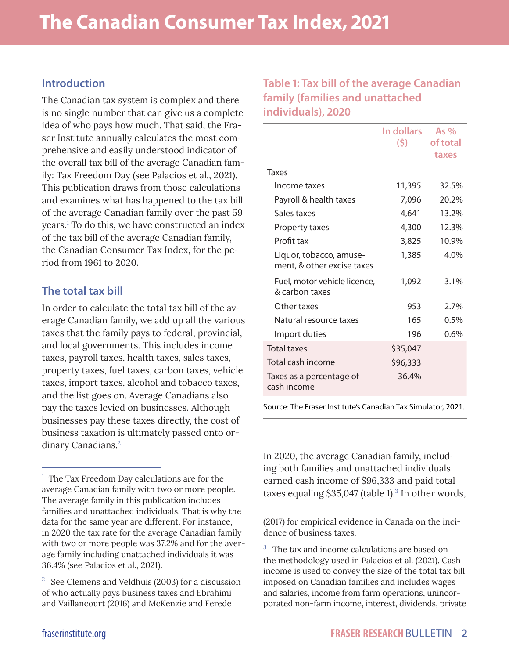#### **Introduction**

The Canadian tax system is complex and there is no single number that can give us a complete idea of who pays how much. That said, the Fraser Institute annually calculates the most comprehensive and easily understood indicator of the overall tax bill of the average Canadian family: Tax Freedom Day (see Palacios et al., 2021). This publication draws from those calculations and examines what has happened to the tax bill of the average Canadian family over the past 59 years.1 To do this, we have constructed an index of the tax bill of the average Canadian family, the Canadian Consumer Tax Index, for the period from 1961 to 2020.

#### **The total tax bill**

In order to calculate the total tax bill of the average Canadian family, we add up all the various taxes that the family pays to federal, provincial, and local governments. This includes income taxes, payroll taxes, health taxes, sales taxes, property taxes, fuel taxes, carbon taxes, vehicle taxes, import taxes, alcohol and tobacco taxes, and the list goes on. Average Canadians also pay the taxes levied on businesses. Although businesses pay these taxes directly, the cost of business taxation is ultimately passed onto ordinary Canadians.<sup>2</sup>

**Table 1: Tax bill of the average Canadian family (families and unattached individuals), 2020**

|                                                       | In dollars<br>(5) | As $%$<br>of total<br>taxes |
|-------------------------------------------------------|-------------------|-----------------------------|
| Taxes                                                 |                   |                             |
| Income taxes                                          | 11,395            | 32.5%                       |
| Payroll & health taxes                                | 7,096             | 20.2%                       |
| Sales taxes                                           | 4,641             | 13.2%                       |
| Property taxes                                        | 4,300             | 12.3%                       |
| Profit tax                                            | 3,825             | 10.9%                       |
| Liquor, tobacco, amuse-<br>ment, & other excise taxes | 1,385             | 4.0%                        |
| Fuel, motor vehicle licence,<br>& carbon taxes        | 1,092             | 3.1%                        |
| Other taxes                                           | 953               | 2.7%                        |
| Natural resource taxes                                | 165               | 0.5%                        |
| Import duties                                         | 196               | 0.6%                        |
| <b>Total taxes</b>                                    | \$35,047          |                             |
| Total cash income                                     | \$96,333          |                             |
| Taxes as a percentage of<br>cash income               | 36.4%             |                             |

Source: The Fraser Institute's Canadian Tax Simulator, 2021.

In 2020, the average Canadian family, including both families and unattached individuals, earned cash income of \$96,333 and paid total taxes equaling  $$35,047$  (table 1).<sup>3</sup> In other words,

(2017) for empirical evidence in Canada on the incidence of business taxes.

<sup>&</sup>lt;sup>1</sup> The Tax Freedom Day calculations are for the average Canadian family with two or more people. The average family in this publication includes families and unattached individuals. That is why the data for the same year are different. For instance, in 2020 the tax rate for the average Canadian family with two or more people was 37.2% and for the average family including unattached individuals it was 36.4% (see Palacios et al., 2021).

 $2\degree$  See Clemens and Veldhuis (2003) for a discussion of who actually pays business taxes and Ebrahimi and Vaillancourt (2016) and McKenzie and Ferede

<sup>&</sup>lt;sup>3</sup> The tax and income calculations are based on the methodology used in Palacios et al. (2021). Cash income is used to convey the size of the total tax bill imposed on Canadian families and includes wages and salaries, income from farm operations, unincorporated non-farm income, interest, dividends, private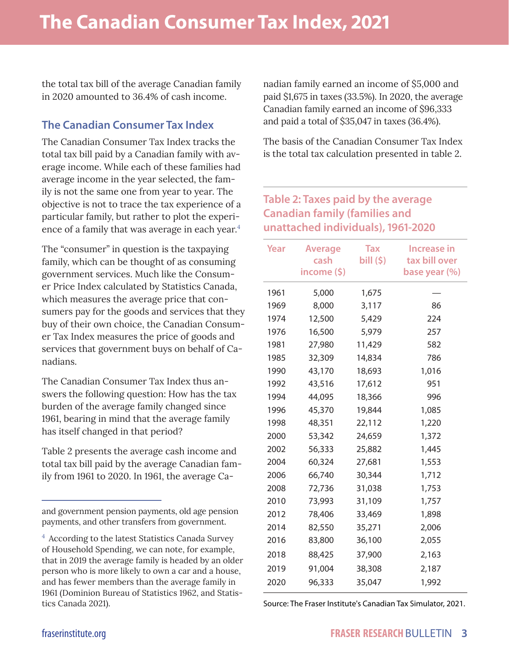the total tax bill of the average Canadian family in 2020 amounted to 36.4% of cash income.

#### **The Canadian Consumer Tax Index**

The Canadian Consumer Tax Index tracks the total tax bill paid by a Canadian family with average income. While each of these families had average income in the year selected, the family is not the same one from year to year. The objective is not to trace the tax experience of a particular family, but rather to plot the experience of a family that was average in each year.<sup>4</sup>

The "consumer" in question is the taxpaying family, which can be thought of as consuming government services. Much like the Consumer Price Index calculated by Statistics Canada, which measures the average price that consumers pay for the goods and services that they buy of their own choice, the Canadian Consumer Tax Index measures the price of goods and services that government buys on behalf of Canadians.

The Canadian Consumer Tax Index thus answers the following question: How has the tax burden of the average family changed since 1961, bearing in mind that the average family has itself changed in that period?

Table 2 presents the average cash income and total tax bill paid by the average Canadian family from 1961 to 2020. In 1961, the average Canadian family earned an income of \$5,000 and paid \$1,675 in taxes (33.5%). In 2020, the average Canadian family earned an income of \$96,333 and paid a total of \$35,047 in taxes (36.4%).

The basis of the Canadian Consumer Tax Index is the total tax calculation presented in table 2.

#### **Table 2: Taxes paid by the average Canadian family (families and unattached individuals), 1961-2020**

| income (\$)<br>base year (%)<br>1961<br>5,000<br>1,675<br>1969<br>8,000<br>3,117<br>86<br>1974<br>12,500<br>5,429<br>224<br>1976<br>16,500<br>5,979<br>257 |  |
|------------------------------------------------------------------------------------------------------------------------------------------------------------|--|
|                                                                                                                                                            |  |
|                                                                                                                                                            |  |
|                                                                                                                                                            |  |
|                                                                                                                                                            |  |
| 1981<br>27,980<br>11,429<br>582                                                                                                                            |  |
| 1985<br>32,309<br>14,834<br>786                                                                                                                            |  |
| 1990<br>43,170<br>18,693<br>1,016                                                                                                                          |  |
| 1992<br>43,516<br>17,612<br>951                                                                                                                            |  |
| 1994<br>44,095<br>18,366<br>996                                                                                                                            |  |
| 1996<br>45,370<br>19,844<br>1,085                                                                                                                          |  |
| 1998<br>48,351<br>22,112<br>1,220                                                                                                                          |  |
| 2000<br>53,342<br>24,659<br>1,372                                                                                                                          |  |
| 2002<br>56,333<br>1,445<br>25,882                                                                                                                          |  |
| 60,324<br>2004<br>27,681<br>1,553                                                                                                                          |  |
| 2006<br>66,740<br>30,344<br>1,712                                                                                                                          |  |
| 2008<br>31,038<br>72,736<br>1,753                                                                                                                          |  |
| 2010<br>31,109<br>1,757<br>73,993                                                                                                                          |  |
| 2012<br>78,406<br>33,469<br>1,898                                                                                                                          |  |
| 35,271<br>2014<br>82,550<br>2,006                                                                                                                          |  |
| 2016<br>83,800<br>36,100<br>2,055                                                                                                                          |  |
| 2018<br>88,425<br>37,900<br>2,163                                                                                                                          |  |
| 2019<br>91,004<br>38,308<br>2,187                                                                                                                          |  |
| 2020<br>96,333<br>35,047<br>1,992                                                                                                                          |  |

Source: The Fraser Institute's Canadian Tax Simulator, 2021.

and government pension payments, old age pension payments, and other transfers from government.

 $4$  According to the latest Statistics Canada Survey of Household Spending, we can note, for example, that in 2019 the average family is headed by an older person who is more likely to own a car and a house, and has fewer members than the average family in 1961 (Dominion Bureau of Statistics 1962, and Statistics Canada 2021).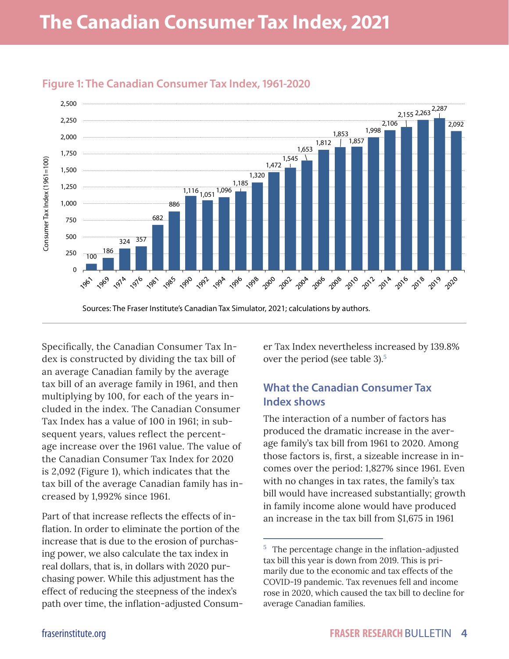

#### **Figure 1: The Canadian Consumer Tax Index, 1961-2020**

Specifically, the Canadian Consumer Tax Index is constructed by dividing the tax bill of an average Canadian family by the average tax bill of an average family in 1961, and then multiplying by 100, for each of the years included in the index. The Canadian Consumer Tax Index has a value of 100 in 1961; in subsequent years, values reflect the percentage increase over the 1961 value. The value of the Canadian Consumer Tax Index for 2020 is 2,092 (Figure 1), which indicates that the tax bill of the average Canadian family has increased by 1,992% since 1961.

Part of that increase reflects the effects of inflation. In order to eliminate the portion of the increase that is due to the erosion of purchasing power, we also calculate the tax index in real dollars, that is, in dollars with 2020 purchasing power. While this adjustment has the effect of reducing the steepness of the index's path over time, the inflation-adjusted Consumer Tax Index nevertheless increased by 139.8% over the period (see table 3).<sup>5</sup>

### **What the Canadian Consumer Tax Index shows**

The interaction of a number of factors has produced the dramatic increase in the average family's tax bill from 1961 to 2020. Among those factors is, first, a sizeable increase in incomes over the period: 1,827% since 1961. Even with no changes in tax rates, the family's tax bill would have increased substantially; growth in family income alone would have produced an increase in the tax bill from \$1,675 in 1961

 $5$  The percentage change in the inflation-adjusted tax bill this year is down from 2019. This is primarily due to the economic and tax effects of the COVID-19 pandemic. Tax revenues fell and income rose in 2020, which caused the tax bill to decline for average Canadian families.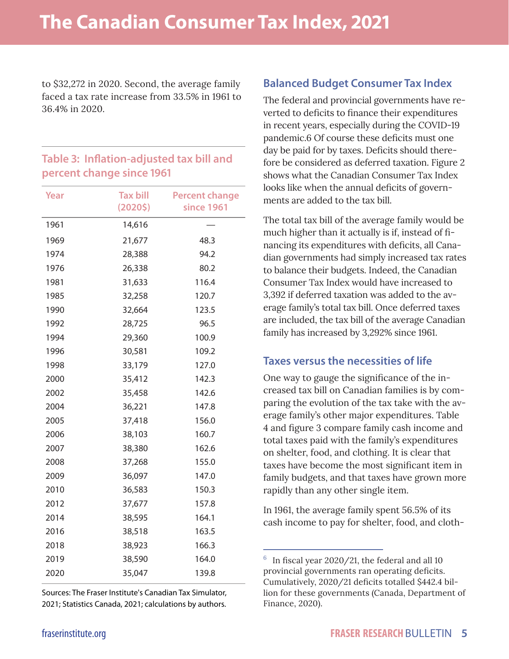to \$32,272 in 2020. Second, the average family faced a tax rate increase from 33.5% in 1961 to 36.4% in 2020.

#### **Table 3: Inflation-adjusted tax bill and percent change since 1961**

| Year | <b>Tax bill</b> | <b>Percent change</b> |
|------|-----------------|-----------------------|
|      | (20205)         | since 1961            |
| 1961 | 14,616          |                       |
| 1969 | 21,677          | 48.3                  |
| 1974 | 28,388          | 94.2                  |
| 1976 | 26,338          | 80.2                  |
| 1981 | 31,633          | 116.4                 |
| 1985 | 32,258          | 120.7                 |
| 1990 | 32,664          | 123.5                 |
| 1992 | 28,725          | 96.5                  |
| 1994 | 29,360          | 100.9                 |
| 1996 | 30,581          | 109.2                 |
| 1998 | 33,179          | 127.0                 |
| 2000 | 35,412          | 142.3                 |
| 2002 | 35,458          | 142.6                 |
| 2004 | 36,221          | 147.8                 |
| 2005 | 37,418          | 156.0                 |
| 2006 | 38,103          | 160.7                 |
| 2007 | 38,380          | 162.6                 |
| 2008 | 37,268          | 155.0                 |
| 2009 | 36,097          | 147.0                 |
| 2010 | 36,583          | 150.3                 |
| 2012 | 37,677          | 157.8                 |
| 2014 | 38,595          | 164.1                 |
| 2016 | 38,518          | 163.5                 |
| 2018 | 38,923          | 166.3                 |
| 2019 | 38,590          | 164.0                 |
| 2020 | 35,047          | 139.8                 |
|      |                 |                       |

Sources: The Fraser Institute's Canadian Tax Simulator, 2021; Statistics Canada, 2021; calculations by authors.

#### **Balanced Budget Consumer Tax Index**

The federal and provincial governments have reverted to deficits to finance their expenditures in recent years, especially during the COVID-19 pandemic.6 Of course these deficits must one day be paid for by taxes. Deficits should therefore be considered as deferred taxation. Figure 2 shows what the Canadian Consumer Tax Index looks like when the annual deficits of governments are added to the tax bill.

The total tax bill of the average family would be much higher than it actually is if, instead of financing its expenditures with deficits, all Canadian governments had simply increased tax rates to balance their budgets. Indeed, the Canadian Consumer Tax Index would have increased to 3,392 if deferred taxation was added to the average family's total tax bill. Once deferred taxes are included, the tax bill of the average Canadian family has increased by 3,292% since 1961.

#### **Taxes versus the necessities of life**

One way to gauge the significance of the increased tax bill on Canadian families is by comparing the evolution of the tax take with the average family's other major expenditures. Table 4 and figure 3 compare family cash income and total taxes paid with the family's expenditures on shelter, food, and clothing. It is clear that taxes have become the most significant item in family budgets, and that taxes have grown more rapidly than any other single item.

In 1961, the average family spent 56.5% of its cash income to pay for shelter, food, and cloth-

<sup>6</sup>In fiscal year 2020/21, the federal and all 10 provincial governments ran operating deficits. Cumulatively, 2020/21 deficits totalled \$442.4 billion for these governments (Canada, Department of Finance, 2020).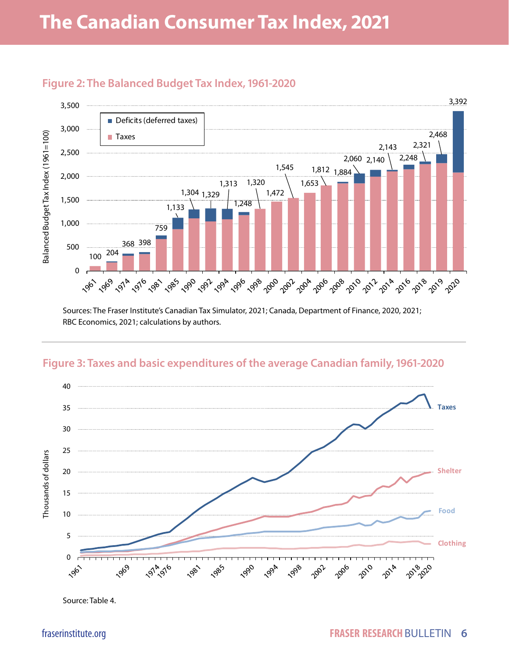

#### **Figure 2: The Balanced Budget Tax Index, 1961-2020**

Sources: The Fraser Institute's Canadian Tax Simulator, 2021; Canada, Department of Finance, 2020, 2021; RBC Economics, 2021; calculations by authors.

#### **Figure 3: Taxes and basic expenditures of the average Canadian family, 1961-2020**



Source: Table 4.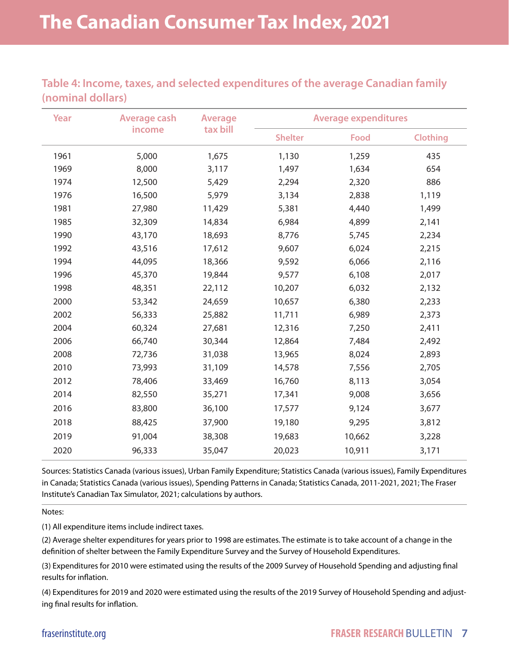**Table 4: Income, taxes, and selected expenditures of the average Canadian family (nominal dollars)**

| Year | <b>Average cash</b> | <b>Average</b><br>tax bill | <b>Average expenditures</b> |             |          |  |
|------|---------------------|----------------------------|-----------------------------|-------------|----------|--|
|      | income              |                            | <b>Shelter</b>              | <b>Food</b> | Clothing |  |
| 1961 | 5,000               | 1,675                      | 1,130                       | 1,259       | 435      |  |
| 1969 | 8,000               | 3,117                      | 1,497                       | 1,634       | 654      |  |
| 1974 | 12,500              | 5,429                      | 2,294                       | 2,320       | 886      |  |
| 1976 | 16,500              | 5,979                      | 3,134                       | 2,838       | 1,119    |  |
| 1981 | 27,980              | 11,429                     | 5,381                       | 4,440       | 1,499    |  |
| 1985 | 32,309              | 14,834                     | 6,984                       | 4,899       | 2,141    |  |
| 1990 | 43,170              | 18,693                     | 8,776                       | 5,745       | 2,234    |  |
| 1992 | 43,516              | 17,612                     | 9,607                       | 6,024       | 2,215    |  |
| 1994 | 44,095              | 18,366                     | 9,592                       | 6,066       | 2,116    |  |
| 1996 | 45,370              | 19,844                     | 9,577                       | 6,108       | 2,017    |  |
| 1998 | 48,351              | 22,112                     | 10,207                      | 6,032       | 2,132    |  |
| 2000 | 53,342              | 24,659                     | 10,657                      | 6,380       | 2,233    |  |
| 2002 | 56,333              | 25,882                     | 11,711                      | 6,989       | 2,373    |  |
| 2004 | 60,324              | 27,681                     | 12,316                      | 7,250       | 2,411    |  |
| 2006 | 66,740              | 30,344                     | 12,864                      | 7,484       | 2,492    |  |
| 2008 | 72,736              | 31,038                     | 13,965                      | 8,024       | 2,893    |  |
| 2010 | 73,993              | 31,109                     | 14,578                      | 7,556       | 2,705    |  |
| 2012 | 78,406              | 33,469                     | 16,760                      | 8,113       | 3,054    |  |
| 2014 | 82,550              | 35,271                     | 17,341                      | 9,008       | 3,656    |  |
| 2016 | 83,800              | 36,100                     | 17,577                      | 9,124       | 3,677    |  |
| 2018 | 88,425              | 37,900                     | 19,180                      | 9,295       | 3,812    |  |
| 2019 | 91,004              | 38,308                     | 19,683                      | 10,662      | 3,228    |  |
| 2020 | 96,333              | 35,047                     | 20,023                      | 10,911      | 3,171    |  |

Sources: Statistics Canada (various issues), Urban Family Expenditure; Statistics Canada (various issues), Family Expenditures in Canada; Statistics Canada (various issues), Spending Patterns in Canada; Statistics Canada, 2011-2021, 2021; The Fraser Institute's Canadian Tax Simulator, 2021; calculations by authors.

Notes:

(1) All expenditure items include indirect taxes.

(2) Average shelter expenditures for years prior to 1998 are estimates. The estimate is to take account of a change in the definition of shelter between the Family Expenditure Survey and the Survey of Household Expenditures.

(3) Expenditures for 2010 were estimated using the results of the 2009 Survey of Household Spending and adjusting final results for inflation.

(4) Expenditures for 2019 and 2020 were estimated using the results of the 2019 Survey of Household Spending and adjusting final results for inflation.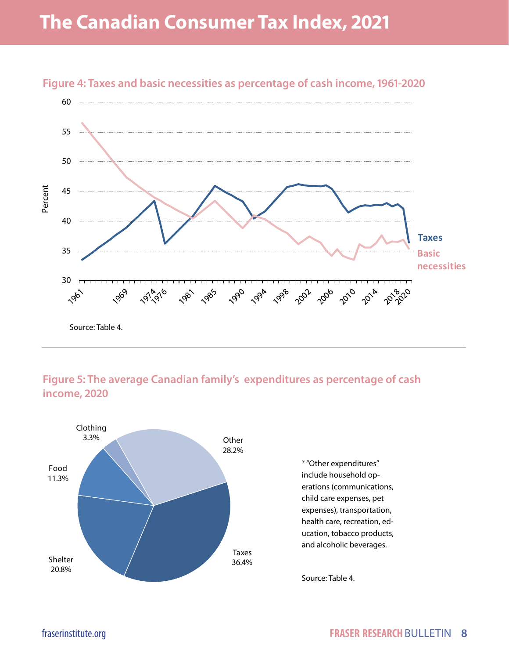

### **Figure 4: Taxes and basic necessities as percentage of cash income, 1961-2020**

#### **Figure 5: The average Canadian family's expenditures as percentage of cash income, 2020**



\* "Other expenditures" include household operations (communications, child care expenses, pet expenses), transportation, health care, recreation, education, tobacco products, and alcoholic beverages.

Source: Table 4.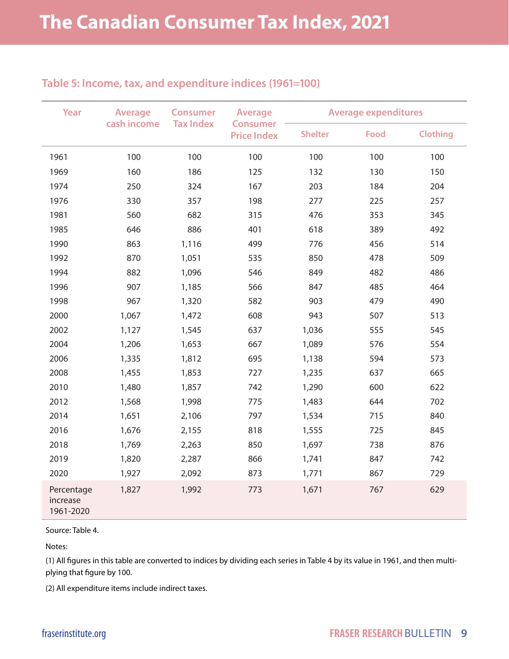#### **Table 5: Income, tax, and expenditure indices (1961=100)**

| Year                                | <b>Average</b><br>cash income | <b>Consumer</b><br><b>Tax Index</b> | <b>Average</b><br><b>Consumer</b><br><b>Price Index</b> | <b>Average expenditures</b> |             |                 |
|-------------------------------------|-------------------------------|-------------------------------------|---------------------------------------------------------|-----------------------------|-------------|-----------------|
|                                     |                               |                                     |                                                         | <b>Shelter</b>              | <b>Food</b> | <b>Clothing</b> |
| 1961                                | 100                           | 100                                 | 100                                                     | 100                         | 100         | 100             |
| 1969                                | 160                           | 186                                 | 125                                                     | 132                         | 130         | 150             |
| 1974                                | 250                           | 324                                 | 167                                                     | 203                         | 184         | 204             |
| 1976                                | 330                           | 357                                 | 198                                                     | 277                         | 225         | 257             |
| 1981                                | 560                           | 682                                 | 315                                                     | 476                         | 353         | 345             |
| 1985                                | 646                           | 886                                 | 401                                                     | 618                         | 389         | 492             |
| 1990                                | 863                           | 1,116                               | 499                                                     | 776                         | 456         | 514             |
| 1992                                | 870                           | 1,051                               | 535                                                     | 850                         | 478         | 509             |
| 1994                                | 882                           | 1,096                               | 546                                                     | 849                         | 482         | 486             |
| 1996                                | 907                           | 1,185                               | 566                                                     | 847                         | 485         | 464             |
| 1998                                | 967                           | 1,320                               | 582                                                     | 903                         | 479         | 490             |
| 2000                                | 1,067                         | 1,472                               | 608                                                     | 943                         | 507         | 513             |
| 2002                                | 1,127                         | 1,545                               | 637                                                     | 1,036                       | 555         | 545             |
| 2004                                | 1,206                         | 1,653                               | 667                                                     | 1,089                       | 576         | 554             |
| 2006                                | 1,335                         | 1,812                               | 695                                                     | 1,138                       | 594         | 573             |
| 2008                                | 1,455                         | 1,853                               | 727                                                     | 1,235                       | 637         | 665             |
| 2010                                | 1,480                         | 1,857                               | 742                                                     | 1,290                       | 600         | 622             |
| 2012                                | 1,568                         | 1,998                               | 775                                                     | 1,483                       | 644         | 702             |
| 2014                                | 1,651                         | 2,106                               | 797                                                     | 1,534                       | 715         | 840             |
| 2016                                | 1,676                         | 2,155                               | 818                                                     | 1,555                       | 725         | 845             |
| 2018                                | 1,769                         | 2,263                               | 850                                                     | 1,697                       | 738         | 876             |
| 2019                                | 1,820                         | 2,287                               | 866                                                     | 1,741                       | 847         | 742             |
| 2020                                | 1,927                         | 2,092                               | 873                                                     | 1,771                       | 867         | 729             |
| Percentage<br>increase<br>1961-2020 | 1,827                         | 1,992                               | 773                                                     | 1,671                       | 767         | 629             |

Source: Table 4.

Notes:

(1) All figures in this table are converted to indices by dividing each series in Table 4 by its value in 1961, and then multiplying that figure by 100.

(2) All expenditure items include indirect taxes.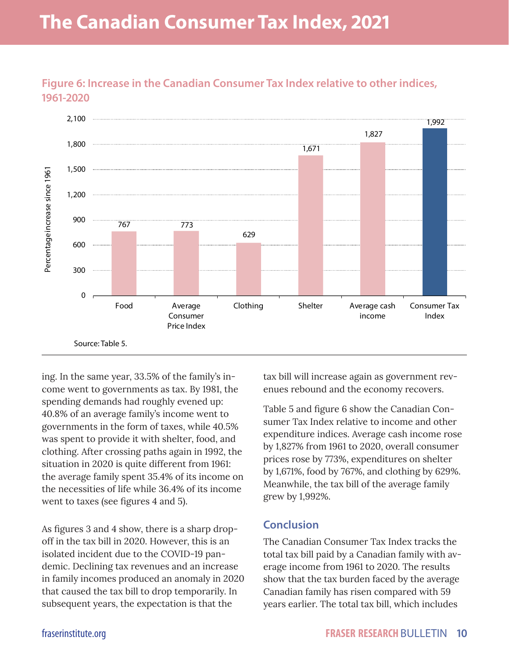## **The Canadian Consumer Tax Index, 2021**



**Figure 6: Increase in the Canadian Consumer Tax Index relative to other indices, 1961-2020**

ing. In the same year, 33.5% of the family's income went to governments as tax. By 1981, the spending demands had roughly evened up: 40.8% of an average family's income went to governments in the form of taxes, while 40.5% was spent to provide it with shelter, food, and clothing. After crossing paths again in 1992, the situation in 2020 is quite different from 1961: the average family spent 35.4% of its income on the necessities of life while 36.4% of its income went to taxes (see figures 4 and 5).

As figures 3 and 4 show, there is a sharp dropoff in the tax bill in 2020. However, this is an isolated incident due to the COVID-19 pandemic. Declining tax revenues and an increase in family incomes produced an anomaly in 2020 that caused the tax bill to drop temporarily. In subsequent years, the expectation is that the

tax bill will increase again as government revenues rebound and the economy recovers.

Table 5 and figure 6 show the Canadian Consumer Tax Index relative to income and other expenditure indices. Average cash income rose by 1,827% from 1961 to 2020, overall consumer prices rose by 773%, expenditures on shelter by 1,671%, food by 767%, and clothing by 629%. Meanwhile, the tax bill of the average family grew by 1,992%.

#### **Conclusion**

The Canadian Consumer Tax Index tracks the total tax bill paid by a Canadian family with average income from 1961 to 2020. The results show that the tax burden faced by the average Canadian family has risen compared with 59 years earlier. The total tax bill, which includes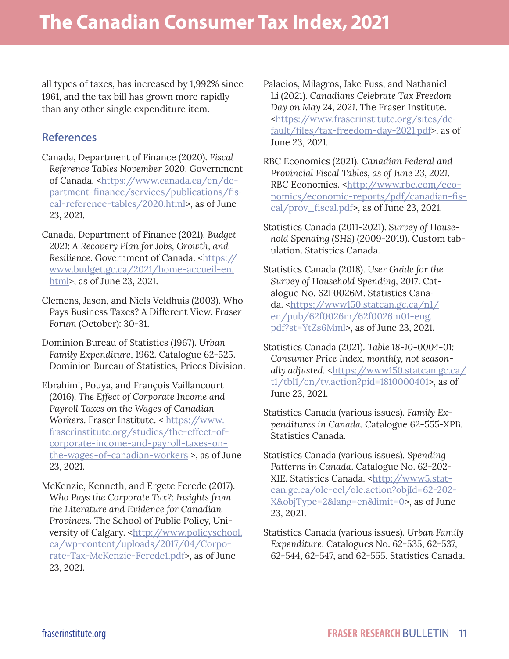all types of taxes, has increased by 1,992% since 1961, and the tax bill has grown more rapidly than any other single expenditure item.

#### **References**

- Canada, Department of Finance (2020). *Fiscal Reference Tables November 2020*. Government of Canada. <[https://www.canada.ca/en/de](https://www.canada.ca/en/department-finance/services/publications/fiscal-reference-tables/2020.html)[partment-finance/services/publications/fis](https://www.canada.ca/en/department-finance/services/publications/fiscal-reference-tables/2020.html)[cal-reference-tables/2020.html](https://www.canada.ca/en/department-finance/services/publications/fiscal-reference-tables/2020.html)>, as of June 23, 2021.
- Canada, Department of Finance (2021). *Budget 2021: A Recovery Plan for Jobs, Growth, and*  Resilience. Government of Canada. <[https://](https://www.budget.gc.ca/2021/home-accueil-en.html) [www.budget.gc.ca/2021/home-accueil-en.](https://www.budget.gc.ca/2021/home-accueil-en.html) [html>](https://www.budget.gc.ca/2021/home-accueil-en.html), as of June 23, 2021.
- Clemens, Jason, and Niels Veldhuis (2003). Who Pays Business Taxes? A Different View. *Fraser Forum* (October): 30-31.
- Dominion Bureau of Statistics (1967). *Urban Family Expenditure*, 1962. Catalogue 62-525. Dominion Bureau of Statistics, Prices Division.
- Ebrahimi, Pouya, and François Vaillancourt (2016). *The Effect of Corporate Income and Payroll Taxes on the Wages of Canadian*  Workers. Fraser Institute. < [https://www.](https://www.fraserinstitute.org/studies/the-effect-of-corporate-income-and-payroll-taxes-on-the-wages-of-canadian-workers) [fraserinstitute.org/studies/the-effect-of](https://www.fraserinstitute.org/studies/the-effect-of-corporate-income-and-payroll-taxes-on-the-wages-of-canadian-workers)[corporate-income-and-payroll-taxes-on](https://www.fraserinstitute.org/studies/the-effect-of-corporate-income-and-payroll-taxes-on-the-wages-of-canadian-workers)[the-wages-of-canadian-workers](https://www.fraserinstitute.org/studies/the-effect-of-corporate-income-and-payroll-taxes-on-the-wages-of-canadian-workers) >, as of June 23, 2021.
- McKenzie, Kenneth, and Ergete Ferede (2017). *Who Pays the Corporate Tax?: Insights from the Literature and Evidence for Canadian Provinces.* The School of Public Policy, University of Calgary. <[http://www.policyschool.](http://www.policyschool.ca/wp-content/uploads/2017/04/Corporate-Tax-McKenzie-Ferede1.pdf) [ca/wp-content/uploads/2017/04/Corpo](http://www.policyschool.ca/wp-content/uploads/2017/04/Corporate-Tax-McKenzie-Ferede1.pdf)[rate-Tax-McKenzie-Ferede1.pdf>](http://www.policyschool.ca/wp-content/uploads/2017/04/Corporate-Tax-McKenzie-Ferede1.pdf), as of June 23, 2021.
- Palacios, Milagros, Jake Fuss, and Nathaniel Li (2021). *Canadians Celebrate Tax Freedom Day on May 24, 2021*. The Fraser Institute. <[https://www.fraserinstitute.org/sites/de](https://www.fraserinstitute.org/sites/default/files/tax-freedom-day-2021.pdf)[fault/files/tax-freedom-day-2021.pdf](https://www.fraserinstitute.org/sites/default/files/tax-freedom-day-2021.pdf)>, as of June 23, 2021.
- RBC Economics (2021). *Canadian Federal and Provincial Fiscal Tables, as of June 23, 2021*. RBC Economics. <[http://www.rbc.com/eco](http://www.rbc.com/economics/economic-reports/pdf/canadian-fiscal/prov_fiscal.pdf)[nomics/economic-reports/pdf/canadian-fis](http://www.rbc.com/economics/economic-reports/pdf/canadian-fiscal/prov_fiscal.pdf)[cal/prov\\_fiscal.pdf](http://www.rbc.com/economics/economic-reports/pdf/canadian-fiscal/prov_fiscal.pdf)>, as of June 23, 2021.
- Statistics Canada (2011-2021). S*urvey of Household Spending (SHS)* (2009-2019). Custom tabulation. Statistics Canada.
- Statistics Canada (2018). *User Guide for the Survey of Household Spending, 2017*. Catalogue No. 62F0026M. Statistics Canada. <[https://www150.statcan.gc.ca/n1/](https://www150.statcan.gc.ca/n1/en/pub/62f0026m/62f0026m01-eng.pdf?st=YtZs6Mml) [en/pub/62f0026m/62f0026m01-eng.](https://www150.statcan.gc.ca/n1/en/pub/62f0026m/62f0026m01-eng.pdf?st=YtZs6Mml) [pdf?st=YtZs6Mml>](https://www150.statcan.gc.ca/n1/en/pub/62f0026m/62f0026m01-eng.pdf?st=YtZs6Mml), as of June 23, 2021.
- Statistics Canada (2021). *Table 18-10-0004-01: Consumer Price Index, monthly, not season*ally adjusted. <[https://www150.statcan.gc.ca/](https://www150.statcan.gc.ca/t1/tbl1/en/tv.action?pid=1810000401) [t1/tbl1/en/tv.action?pid=1810000401](https://www150.statcan.gc.ca/t1/tbl1/en/tv.action?pid=1810000401)>, as of June 23, 2021.
- Statistics Canada (various issues). *Family Expenditures in Canada.* Catalogue 62-555-XPB. Statistics Canada.
- Statistics Canada (various issues). *Spending Patterns in Canada*. Catalogue No. 62-202 XIE. Statistics Canada. <[http://www5.stat](http://www5.statcan.gc.ca/olc-cel/olc.action?objId=62-202-X&objType=2&lang=en&limit=0)[can.gc.ca/olc-cel/olc.action?objId=62-202-](http://www5.statcan.gc.ca/olc-cel/olc.action?objId=62-202-X&objType=2&lang=en&limit=0) [X&objType=2&lang=en&limit=0>](http://www5.statcan.gc.ca/olc-cel/olc.action?objId=62-202-X&objType=2&lang=en&limit=0), as of June 23, 2021.
- Statistics Canada (various issues). *Urban Family Expenditure*. Catalogues No. 62-535, 62-537, 62-544, 62-547, and 62-555. Statistics Canada.